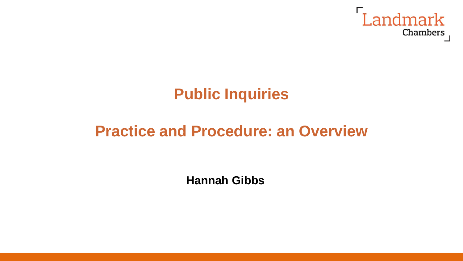

# **Public Inquiries**

# **Practice and Procedure: an Overview**

**Hannah Gibbs**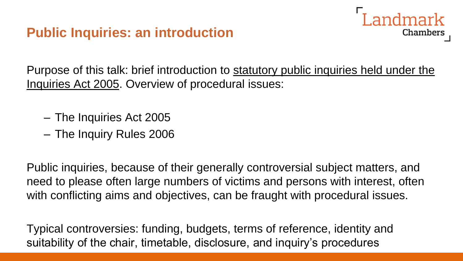

Purpose of this talk: brief introduction to statutory public inquiries held under the Inquiries Act 2005. Overview of procedural issues:

- The Inquiries Act 2005
- The Inquiry Rules 2006

Public inquiries, because of their generally controversial subject matters, and need to please often large numbers of victims and persons with interest, often with conflicting aims and objectives, can be fraught with procedural issues.

Typical controversies: funding, budgets, terms of reference, identity and suitability of the chair, timetable, disclosure, and inquiry's procedures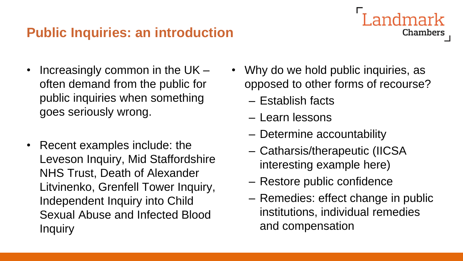## **Public Inquiries: an introduction**

- Increasingly common in the UK often demand from the public for public inquiries when something goes seriously wrong.
- Recent examples include: the Leveson Inquiry, Mid Staffordshire NHS Trust, Death of Alexander Litvinenko, Grenfell Tower Inquiry, Independent Inquiry into Child Sexual Abuse and Infected Blood **Inquiry**

Why do we hold public inquiries, as opposed to other forms of recourse?

Chambers

- Establish facts
- Learn lessons
- Determine accountability
- Catharsis/therapeutic (IICSA interesting example here)
- Restore public confidence
- Remedies: effect change in public institutions, individual remedies and compensation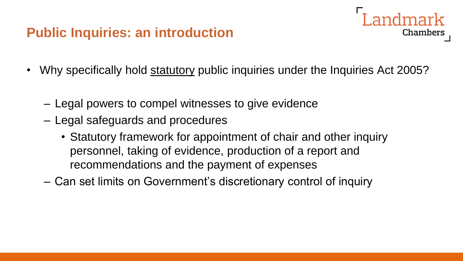# **Public Inquiries: an introduction**



- Why specifically hold statutory public inquiries under the Inquiries Act 2005?
	- Legal powers to compel witnesses to give evidence
	- Legal safeguards and procedures
		- Statutory framework for appointment of chair and other inquiry personnel, taking of evidence, production of a report and recommendations and the payment of expenses
	- Can set limits on Government's discretionary control of inquiry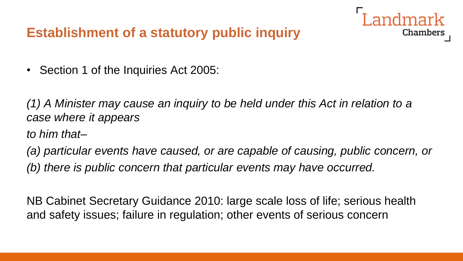# **Establishment of a statutory public inquiry**

• Section 1 of the Inquiries Act 2005:

*(1) A Minister may cause an inquiry to be held under this Act in relation to a case where it appears*

*to him that–*

*(a) particular events have caused, or are capable of causing, public concern, or (b) there is public concern that particular events may have occurred.*

Chambers

NB Cabinet Secretary Guidance 2010: large scale loss of life; serious health and safety issues; failure in regulation; other events of serious concern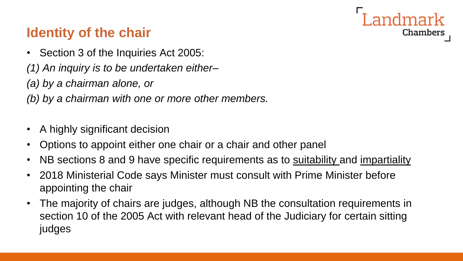

# **Identity of the chair**

- Section 3 of the Inquiries Act 2005:
- *(1) An inquiry is to be undertaken either–*
- *(a) by a chairman alone, or*
- *(b) by a chairman with one or more other members.*
- A highly significant decision
- Options to appoint either one chair or a chair and other panel
- NB sections 8 and 9 have specific requirements as to <u>suitability</u> and <u>impartiality</u>
- 2018 Ministerial Code says Minister must consult with Prime Minister before appointing the chair
- The majority of chairs are judges, although NB the consultation requirements in section 10 of the 2005 Act with relevant head of the Judiciary for certain sitting judges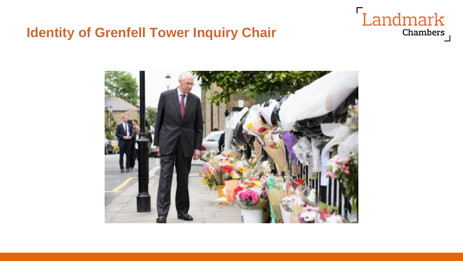## **Identity of Grenfell Tower Inquiry Chair**



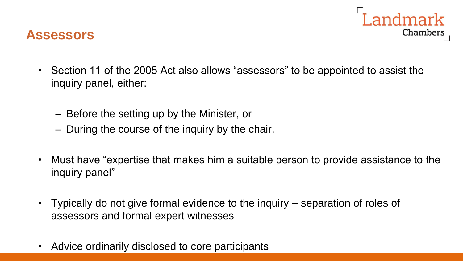

#### **Assessors**

- Section 11 of the 2005 Act also allows "assessors" to be appointed to assist the inquiry panel, either:
	- Before the setting up by the Minister, or
	- During the course of the inquiry by the chair.
- Must have "expertise that makes him a suitable person to provide assistance to the inquiry panel"
- Typically do not give formal evidence to the inquiry separation of roles of assessors and formal expert witnesses
- Advice ordinarily disclosed to core participants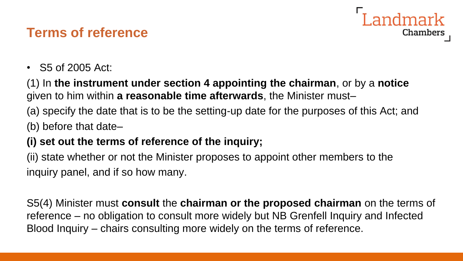# **Terms of reference**



• S5 of 2005 Act:

(1) In **the instrument under section 4 appointing the chairman**, or by a **notice** given to him within **a reasonable time afterwards**, the Minister must–

(a) specify the date that is to be the setting-up date for the purposes of this Act; and (b) before that date–

#### **(i) set out the terms of reference of the inquiry;**

(ii) state whether or not the Minister proposes to appoint other members to the inquiry panel, and if so how many.

S5(4) Minister must **consult** the **chairman or the proposed chairman** on the terms of reference – no obligation to consult more widely but NB Grenfell Inquiry and Infected Blood Inquiry – chairs consulting more widely on the terms of reference.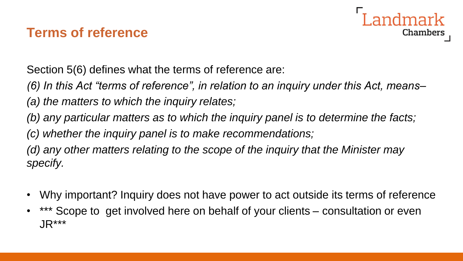# **Terms of reference**



Section 5(6) defines what the terms of reference are:

*(6) In this Act "terms of reference", in relation to an inquiry under this Act, means–*

*(a) the matters to which the inquiry relates;*

*(b) any particular matters as to which the inquiry panel is to determine the facts;*

*(c) whether the inquiry panel is to make recommendations;*

*(d) any other matters relating to the scope of the inquiry that the Minister may specify.*

- Why important? Inquiry does not have power to act outside its terms of reference
- \*\*\* Scope to get involved here on behalf of your clients consultation or even JR\*\*\*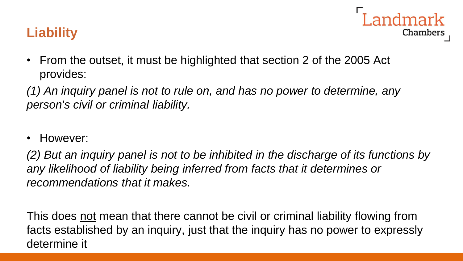# **Liability**

- Chambers
- From the outset, it must be highlighted that section 2 of the 2005 Act provides:

*(1) An inquiry panel is not to rule on, and has no power to determine, any person's civil or criminal liability.*

• However:

*(2) But an inquiry panel is not to be inhibited in the discharge of its functions by any likelihood of liability being inferred from facts that it determines or recommendations that it makes.*

This does not mean that there cannot be civil or criminal liability flowing from facts established by an inquiry, just that the inquiry has no power to expressly determine it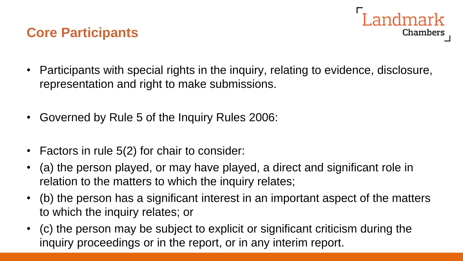#### **Core Participants**



- Participants with special rights in the inquiry, relating to evidence, disclosure, representation and right to make submissions.
- Governed by Rule 5 of the Inquiry Rules 2006:
- Factors in rule 5(2) for chair to consider:
- (a) the person played, or may have played, a direct and significant role in relation to the matters to which the inquiry relates;
- (b) the person has a significant interest in an important aspect of the matters to which the inquiry relates; or
- (c) the person may be subject to explicit or significant criticism during the inquiry proceedings or in the report, or in any interim report.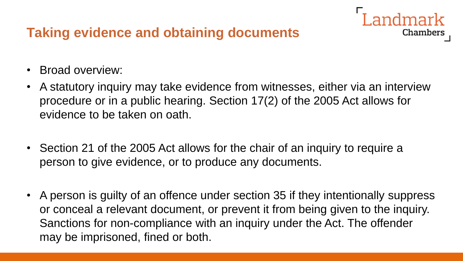# **Taking evidence and obtaining documents**

- Broad overview:
- A statutory inquiry may take evidence from witnesses, either via an interview procedure or in a public hearing. Section 17(2) of the 2005 Act allows for evidence to be taken on oath.

**Chambers** 

- Section 21 of the 2005 Act allows for the chair of an inquiry to require a person to give evidence, or to produce any documents.
- A person is guilty of an offence under section 35 if they intentionally suppress or conceal a relevant document, or prevent it from being given to the inquiry. Sanctions for non-compliance with an inquiry under the Act. The offender may be imprisoned, fined or both.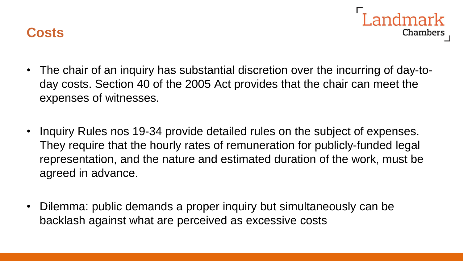

- Chambers • The chair of an inquiry has substantial discretion over the incurring of day-to-
- day costs. Section 40 of the 2005 Act provides that the chair can meet the expenses of witnesses.
- Inquiry Rules nos 19-34 provide detailed rules on the subject of expenses. They require that the hourly rates of remuneration for publicly-funded legal representation, and the nature and estimated duration of the work, must be agreed in advance.
- Dilemma: public demands a proper inquiry but simultaneously can be backlash against what are perceived as excessive costs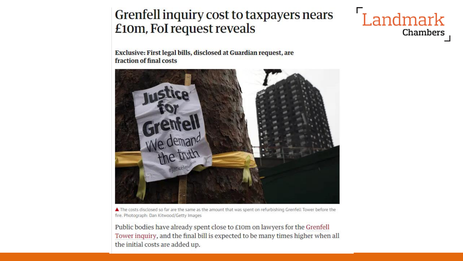#### Grenfell inquiry cost to taxpayers nears £10m, FoI request reveals



Exclusive: First legal bills, disclosed at Guardian request, are fraction of final costs



▲ The costs disclosed so far are the same as the amount that was spent on refurbishing Grenfell Tower before the fire. Photograph: Dan Kitwood/Getty Images

Public bodies have already spent close to £10m on lawyers for the Grenfell Tower inquiry, and the final bill is expected to be many times higher when all the initial costs are added up.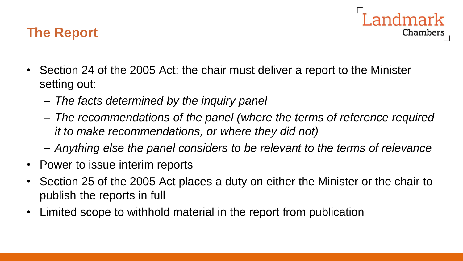#### **The Report**

- ndmark Chambers
- Section 24 of the 2005 Act: the chair must deliver a report to the Minister setting out:
	- *The facts determined by the inquiry panel*
	- *The recommendations of the panel (where the terms of reference required it to make recommendations, or where they did not)*
	- *Anything else the panel considers to be relevant to the terms of relevance*
- Power to issue interim reports
- Section 25 of the 2005 Act places a duty on either the Minister or the chair to publish the reports in full
- Limited scope to withhold material in the report from publication